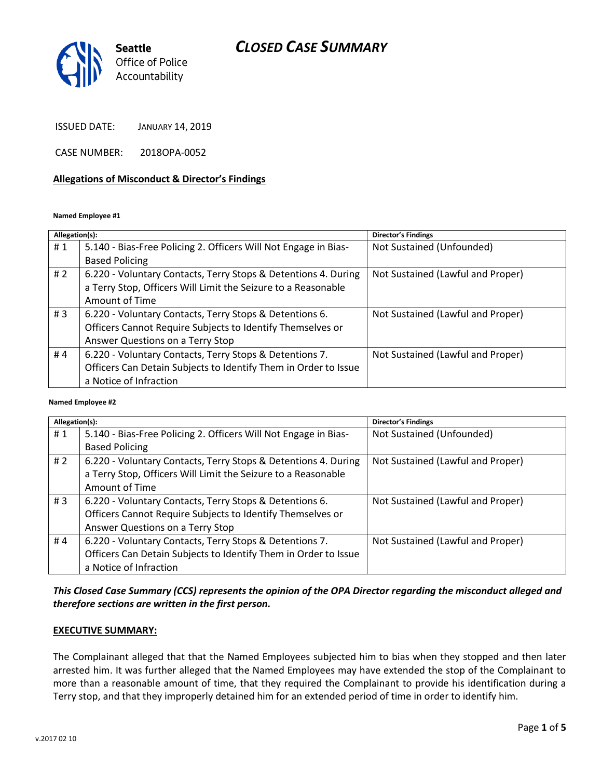# *CLOSED CASE SUMMARY*



ISSUED DATE: JANUARY 14, 2019

CASE NUMBER: 2018OPA-0052

#### **Allegations of Misconduct & Director's Findings**

#### **Named Employee #1**

| Allegation(s): |                                                                 | Director's Findings               |
|----------------|-----------------------------------------------------------------|-----------------------------------|
| #1             | 5.140 - Bias-Free Policing 2. Officers Will Not Engage in Bias- | Not Sustained (Unfounded)         |
|                | <b>Based Policing</b>                                           |                                   |
| # 2            | 6.220 - Voluntary Contacts, Terry Stops & Detentions 4. During  | Not Sustained (Lawful and Proper) |
|                | a Terry Stop, Officers Will Limit the Seizure to a Reasonable   |                                   |
|                | Amount of Time                                                  |                                   |
| #3             | 6.220 - Voluntary Contacts, Terry Stops & Detentions 6.         | Not Sustained (Lawful and Proper) |
|                | Officers Cannot Require Subjects to Identify Themselves or      |                                   |
|                | Answer Questions on a Terry Stop                                |                                   |
| #4             | 6.220 - Voluntary Contacts, Terry Stops & Detentions 7.         | Not Sustained (Lawful and Proper) |
|                | Officers Can Detain Subjects to Identify Them in Order to Issue |                                   |
|                | a Notice of Infraction                                          |                                   |
|                |                                                                 |                                   |

#### **Named Employee #2**

| Allegation(s): |                                                                 | <b>Director's Findings</b>        |
|----------------|-----------------------------------------------------------------|-----------------------------------|
| #1             | 5.140 - Bias-Free Policing 2. Officers Will Not Engage in Bias- | Not Sustained (Unfounded)         |
|                | <b>Based Policing</b>                                           |                                   |
| # $2$          | 6.220 - Voluntary Contacts, Terry Stops & Detentions 4. During  | Not Sustained (Lawful and Proper) |
|                | a Terry Stop, Officers Will Limit the Seizure to a Reasonable   |                                   |
|                | Amount of Time                                                  |                                   |
| #3             | 6.220 - Voluntary Contacts, Terry Stops & Detentions 6.         | Not Sustained (Lawful and Proper) |
|                | Officers Cannot Require Subjects to Identify Themselves or      |                                   |
|                | Answer Questions on a Terry Stop                                |                                   |
| #4             | 6.220 - Voluntary Contacts, Terry Stops & Detentions 7.         | Not Sustained (Lawful and Proper) |
|                | Officers Can Detain Subjects to Identify Them in Order to Issue |                                   |
|                | a Notice of Infraction                                          |                                   |

## *This Closed Case Summary (CCS) represents the opinion of the OPA Director regarding the misconduct alleged and therefore sections are written in the first person.*

#### **EXECUTIVE SUMMARY:**

The Complainant alleged that that the Named Employees subjected him to bias when they stopped and then later arrested him. It was further alleged that the Named Employees may have extended the stop of the Complainant to more than a reasonable amount of time, that they required the Complainant to provide his identification during a Terry stop, and that they improperly detained him for an extended period of time in order to identify him.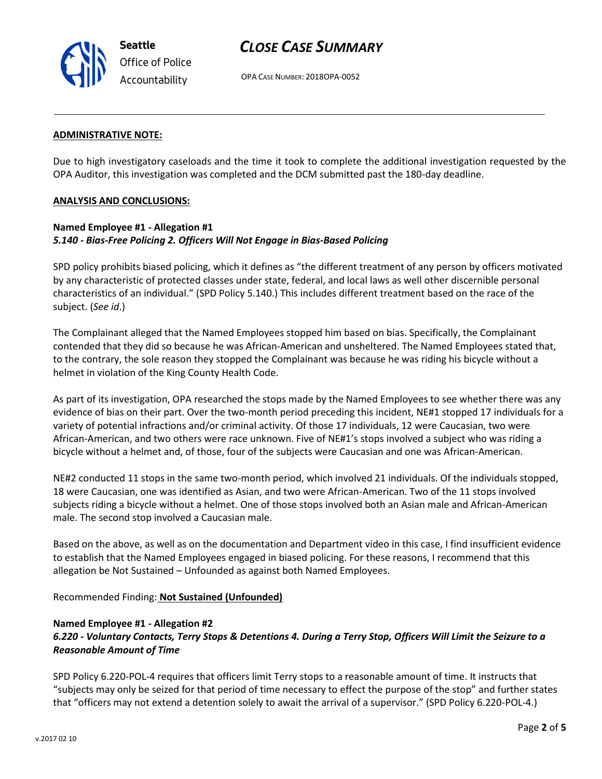

# *CLOSE CASE SUMMARY*

OPA CASE NUMBER: 2018OPA-0052

#### **ADMINISTRATIVE NOTE:**

Due to high investigatory caseloads and the time it took to complete the additional investigation requested by the OPA Auditor, this investigation was completed and the DCM submitted past the 180-day deadline.

#### **ANALYSIS AND CONCLUSIONS:**

## **Named Employee #1 - Allegation #1** *5.140 - Bias-Free Policing 2. Officers Will Not Engage in Bias-Based Policing*

SPD policy prohibits biased policing, which it defines as "the different treatment of any person by officers motivated by any characteristic of protected classes under state, federal, and local laws as well other discernible personal characteristics of an individual." (SPD Policy 5.140.) This includes different treatment based on the race of the subject. (*See id*.)

The Complainant alleged that the Named Employees stopped him based on bias. Specifically, the Complainant contended that they did so because he was African-American and unsheltered. The Named Employees stated that, to the contrary, the sole reason they stopped the Complainant was because he was riding his bicycle without a helmet in violation of the King County Health Code.

As part of its investigation, OPA researched the stops made by the Named Employees to see whether there was any evidence of bias on their part. Over the two-month period preceding this incident, NE#1 stopped 17 individuals for a variety of potential infractions and/or criminal activity. Of those 17 individuals, 12 were Caucasian, two were African-American, and two others were race unknown. Five of NE#1's stops involved a subject who was riding a bicycle without a helmet and, of those, four of the subjects were Caucasian and one was African-American.

NE#2 conducted 11 stops in the same two-month period, which involved 21 individuals. Of the individuals stopped, 18 were Caucasian, one was identified as Asian, and two were African-American. Two of the 11 stops involved subjects riding a bicycle without a helmet. One of those stops involved both an Asian male and African-American male. The second stop involved a Caucasian male.

Based on the above, as well as on the documentation and Department video in this case, I find insufficient evidence to establish that the Named Employees engaged in biased policing. For these reasons, I recommend that this allegation be Not Sustained – Unfounded as against both Named Employees.

Recommended Finding: **Not Sustained (Unfounded)**

#### **Named Employee #1 - Allegation #2**

## *6.220 - Voluntary Contacts, Terry Stops & Detentions 4. During a Terry Stop, Officers Will Limit the Seizure to a Reasonable Amount of Time*

SPD Policy 6.220-POL-4 requires that officers limit Terry stops to a reasonable amount of time. It instructs that "subjects may only be seized for that period of time necessary to effect the purpose of the stop" and further states that "officers may not extend a detention solely to await the arrival of a supervisor." (SPD Policy 6.220-POL-4.)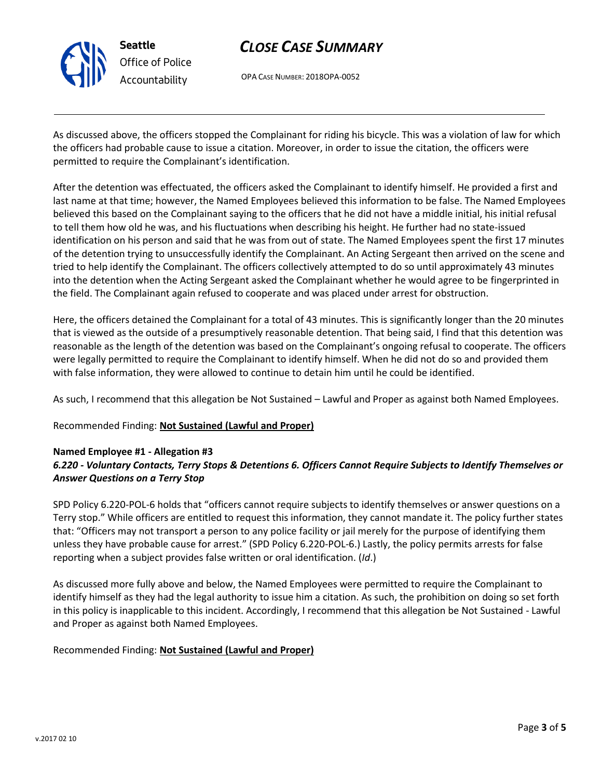

# *CLOSE CASE SUMMARY*

OPA CASE NUMBER: 2018OPA-0052

As discussed above, the officers stopped the Complainant for riding his bicycle. This was a violation of law for which the officers had probable cause to issue a citation. Moreover, in order to issue the citation, the officers were permitted to require the Complainant's identification.

After the detention was effectuated, the officers asked the Complainant to identify himself. He provided a first and last name at that time; however, the Named Employees believed this information to be false. The Named Employees believed this based on the Complainant saying to the officers that he did not have a middle initial, his initial refusal to tell them how old he was, and his fluctuations when describing his height. He further had no state-issued identification on his person and said that he was from out of state. The Named Employees spent the first 17 minutes of the detention trying to unsuccessfully identify the Complainant. An Acting Sergeant then arrived on the scene and tried to help identify the Complainant. The officers collectively attempted to do so until approximately 43 minutes into the detention when the Acting Sergeant asked the Complainant whether he would agree to be fingerprinted in the field. The Complainant again refused to cooperate and was placed under arrest for obstruction.

Here, the officers detained the Complainant for a total of 43 minutes. This is significantly longer than the 20 minutes that is viewed as the outside of a presumptively reasonable detention. That being said, I find that this detention was reasonable as the length of the detention was based on the Complainant's ongoing refusal to cooperate. The officers were legally permitted to require the Complainant to identify himself. When he did not do so and provided them with false information, they were allowed to continue to detain him until he could be identified.

As such, I recommend that this allegation be Not Sustained – Lawful and Proper as against both Named Employees.

Recommended Finding: **Not Sustained (Lawful and Proper)**

### **Named Employee #1 - Allegation #3**

## *6.220 - Voluntary Contacts, Terry Stops & Detentions 6. Officers Cannot Require Subjects to Identify Themselves or Answer Questions on a Terry Stop*

SPD Policy 6.220-POL-6 holds that "officers cannot require subjects to identify themselves or answer questions on a Terry stop." While officers are entitled to request this information, they cannot mandate it. The policy further states that: "Officers may not transport a person to any police facility or jail merely for the purpose of identifying them unless they have probable cause for arrest." (SPD Policy 6.220-POL-6.) Lastly, the policy permits arrests for false reporting when a subject provides false written or oral identification. (*Id*.)

As discussed more fully above and below, the Named Employees were permitted to require the Complainant to identify himself as they had the legal authority to issue him a citation. As such, the prohibition on doing so set forth in this policy is inapplicable to this incident. Accordingly, I recommend that this allegation be Not Sustained - Lawful and Proper as against both Named Employees.

### Recommended Finding: **Not Sustained (Lawful and Proper)**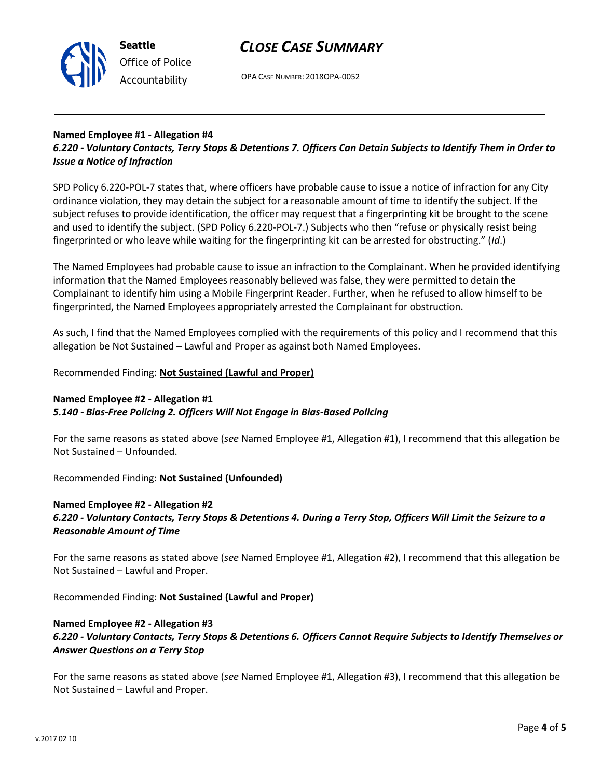



OPA CASE NUMBER: 2018OPA-0052

### **Named Employee #1 - Allegation #4** *6.220 - Voluntary Contacts, Terry Stops & Detentions 7. Officers Can Detain Subjects to Identify Them in Order to Issue a Notice of Infraction*

SPD Policy 6.220-POL-7 states that, where officers have probable cause to issue a notice of infraction for any City ordinance violation, they may detain the subject for a reasonable amount of time to identify the subject. If the subject refuses to provide identification, the officer may request that a fingerprinting kit be brought to the scene and used to identify the subject. (SPD Policy 6.220-POL-7.) Subjects who then "refuse or physically resist being fingerprinted or who leave while waiting for the fingerprinting kit can be arrested for obstructing." (*Id*.)

The Named Employees had probable cause to issue an infraction to the Complainant. When he provided identifying information that the Named Employees reasonably believed was false, they were permitted to detain the Complainant to identify him using a Mobile Fingerprint Reader. Further, when he refused to allow himself to be fingerprinted, the Named Employees appropriately arrested the Complainant for obstruction.

As such, I find that the Named Employees complied with the requirements of this policy and I recommend that this allegation be Not Sustained – Lawful and Proper as against both Named Employees.

## Recommended Finding: **Not Sustained (Lawful and Proper)**

## **Named Employee #2 - Allegation #1**

## *5.140 - Bias-Free Policing 2. Officers Will Not Engage in Bias-Based Policing*

For the same reasons as stated above (*see* Named Employee #1, Allegation #1), I recommend that this allegation be Not Sustained – Unfounded.

Recommended Finding: **Not Sustained (Unfounded)**

### **Named Employee #2 - Allegation #2** *6.220 - Voluntary Contacts, Terry Stops & Detentions 4. During a Terry Stop, Officers Will Limit the Seizure to a Reasonable Amount of Time*

For the same reasons as stated above (*see* Named Employee #1, Allegation #2), I recommend that this allegation be Not Sustained – Lawful and Proper.

Recommended Finding: **Not Sustained (Lawful and Proper)**

## **Named Employee #2 - Allegation #3**

## *6.220 - Voluntary Contacts, Terry Stops & Detentions 6. Officers Cannot Require Subjects to Identify Themselves or Answer Questions on a Terry Stop*

For the same reasons as stated above (*see* Named Employee #1, Allegation #3), I recommend that this allegation be Not Sustained – Lawful and Proper.